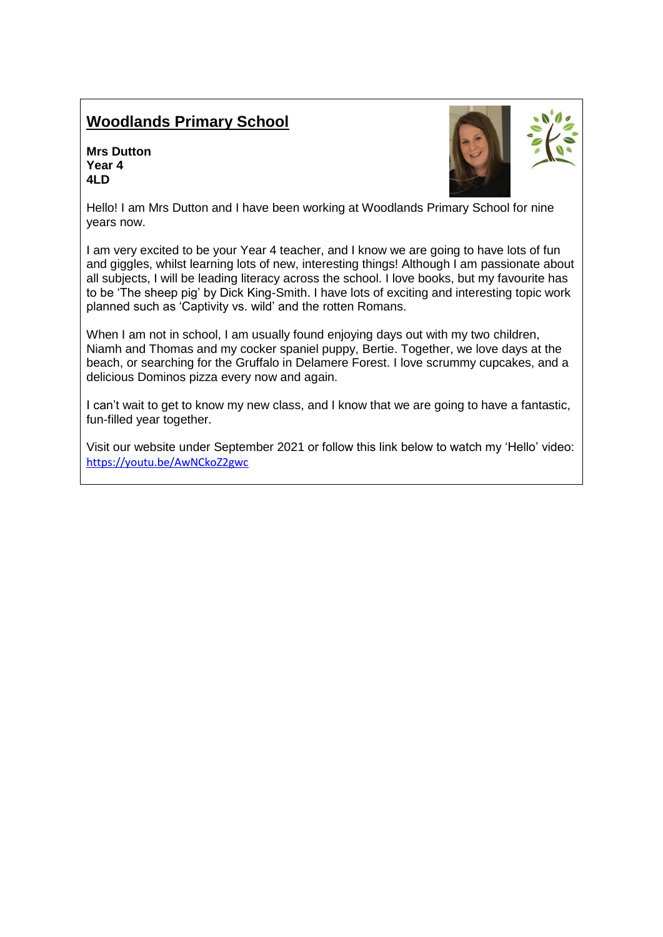## **Woodlands Primary School**

**Mrs Dutton Year 4 4LD**



Hello! I am Mrs Dutton and I have been working at Woodlands Primary School for nine years now.

I am very excited to be your Year 4 teacher, and I know we are going to have lots of fun and giggles, whilst learning lots of new, interesting things! Although I am passionate about all subjects, I will be leading literacy across the school. I love books, but my favourite has to be 'The sheep pig' by Dick King-Smith. I have lots of exciting and interesting topic work planned such as 'Captivity vs. wild' and the rotten Romans.

When I am not in school, I am usually found enjoying days out with my two children, Niamh and Thomas and my cocker spaniel puppy, Bertie. Together, we love days at the beach, or searching for the Gruffalo in Delamere Forest. I love scrummy cupcakes, and a delicious Dominos pizza every now and again.

I can't wait to get to know my new class, and I know that we are going to have a fantastic, fun-filled year together.

Visit our website under September 2021 or follow this link below to watch my 'Hello' video: <https://youtu.be/AwNCkoZ2gwc>